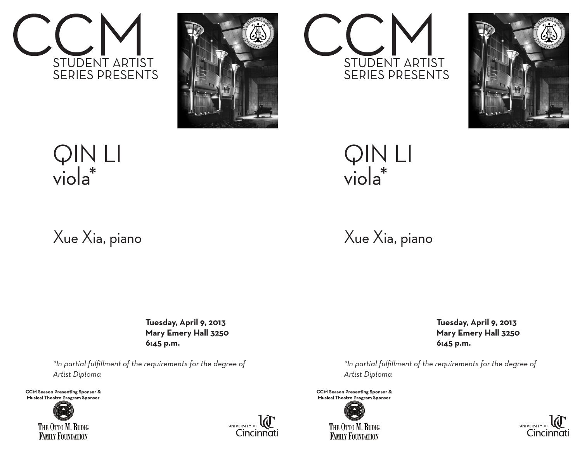





## Xue Xia, piano

 **Tuesday, April 9, 2013 Mary Emery Hall 3250 6:45 p.m.**

*\*In partial fulfillment of the requirements for the degree of Artist Diploma*

**CCM Season Presenting Sponsor & Musical Theatre Program Sponsor**